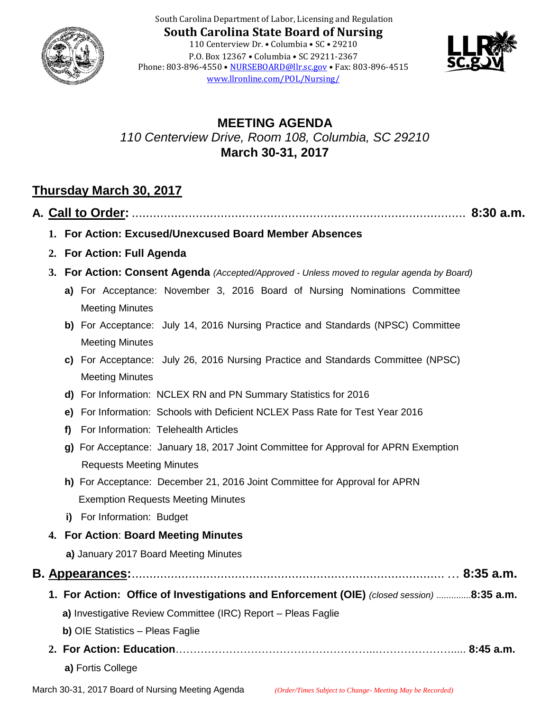

South Carolina Department of Labor, Licensing and Regulation **South Carolina State Board of Nursing** 110 Centerview Dr. • Columbia • SC • 29210 P.O. Box 12367 • Columbia • SC 29211-2367 Phone: 803-896-4550 • [NURSEBOARD@llr.sc.gov](mailto:contactllr@llr.sc.gov) • Fax: 803-896-4515 [www.llronline.com/POL/Nursing/](http://www.llronline.com/POL/Nursing/)



# **MEETING AGENDA** *110 Centerview Drive, Room 108, Columbia, SC 29210* **March 30-31, 2017**

# **Thursday March 30, 2017**

|    | $8:30$ a.m.                                                                                                   |
|----|---------------------------------------------------------------------------------------------------------------|
|    | 1. For Action: Excused/Unexcused Board Member Absences                                                        |
|    | 2. For Action: Full Agenda                                                                                    |
| 3. | <b>For Action: Consent Agenda</b> (Accepted/Approved - Unless moved to regular agenda by Board)               |
|    | a) For Acceptance: November 3, 2016 Board of Nursing Nominations Committee                                    |
|    | <b>Meeting Minutes</b>                                                                                        |
|    | b) For Acceptance: July 14, 2016 Nursing Practice and Standards (NPSC) Committee<br><b>Meeting Minutes</b>    |
|    | c) For Acceptance: July 26, 2016 Nursing Practice and Standards Committee (NPSC)<br><b>Meeting Minutes</b>    |
|    | d) For Information: NCLEX RN and PN Summary Statistics for 2016                                               |
|    | For Information: Schools with Deficient NCLEX Pass Rate for Test Year 2016<br>e)                              |
|    | For Information: Telehealth Articles<br>f)                                                                    |
|    | g) For Acceptance: January 18, 2017 Joint Committee for Approval for APRN Exemption                           |
|    | <b>Requests Meeting Minutes</b>                                                                               |
|    | h) For Acceptance: December 21, 2016 Joint Committee for Approval for APRN                                    |
|    | <b>Exemption Requests Meeting Minutes</b>                                                                     |
|    | i) For Information: Budget                                                                                    |
|    | 4. For Action: Board Meeting Minutes                                                                          |
|    | a) January 2017 Board Meeting Minutes                                                                         |
|    |                                                                                                               |
|    | 1. For Action: Office of Investigations and Enforcement (OIE) (closed session) 8:35 a.m.                      |
|    | a) Investigative Review Committee (IRC) Report - Pleas Faglie                                                 |
|    | <b>b)</b> OIE Statistics - Pleas Faglie                                                                       |
|    |                                                                                                               |
|    | a) Fortis College                                                                                             |
|    | March 30-31, 2017 Board of Nursing Meeting Agenda<br>(Order/Times Subject to Change- Meeting May be Recorded) |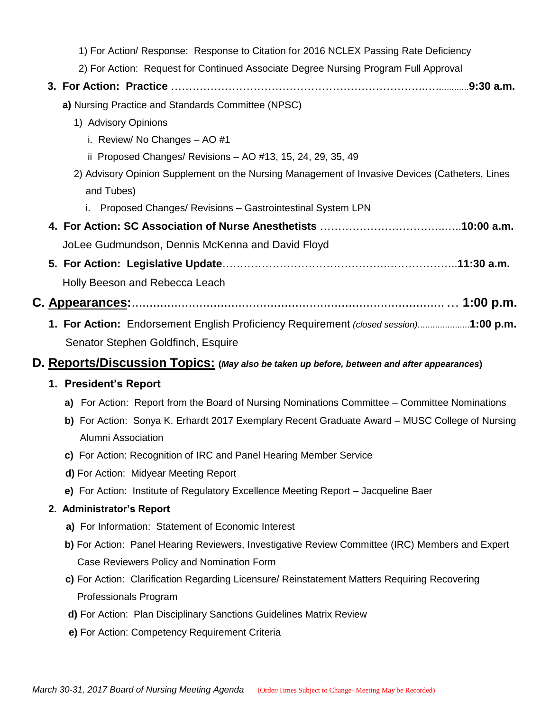|  | 1) For Action/ Response: Response to Citation for 2016 NCLEX Passing Rate Deficiency                         |
|--|--------------------------------------------------------------------------------------------------------------|
|  | 2) For Action: Request for Continued Associate Degree Nursing Program Full Approval                          |
|  |                                                                                                              |
|  | a) Nursing Practice and Standards Committee (NPSC)                                                           |
|  | 1) Advisory Opinions                                                                                         |
|  | i. Review/ No Changes - AO #1                                                                                |
|  | ii Proposed Changes/ Revisions - AO #13, 15, 24, 29, 35, 49                                                  |
|  | 2) Advisory Opinion Supplement on the Nursing Management of Invasive Devices (Catheters, Lines<br>and Tubes) |
|  | i. Proposed Changes/ Revisions - Gastrointestinal System LPN                                                 |
|  |                                                                                                              |
|  | JoLee Gudmundson, Dennis McKenna and David Floyd                                                             |
|  |                                                                                                              |
|  | Holly Beeson and Rebecca Leach                                                                               |
|  |                                                                                                              |
|  | 1. For Action: Endorsement English Proficiency Requirement (closed session)1:00 p.m.                         |
|  | Senator Stephen Goldfinch, Esquire                                                                           |
|  | D. Reports/Discussion Topics: (May also be taken up before, between and after appearances)                   |
|  | 1. President's Report                                                                                        |
|  | a) For Action: Report from the Board of Nursing Nominations Committee – Committee Nominations                |
|  | b) For Action: Sonya K. Erhardt 2017 Exemplary Recent Graduate Award – MUSC College of Nursing               |
|  | Alumni Association                                                                                           |
|  | c) For Action: Recognition of IRC and Panel Hearing Member Service                                           |
|  | d) For Action: Midyear Meeting Report                                                                        |
|  | e) For Action: Institute of Regulatory Excellence Meeting Report - Jacqueline Baer                           |
|  | 2. Administrator's Report                                                                                    |
|  | a) For Information: Statement of Economic Interest                                                           |
|  | b) For Action: Panel Hearing Reviewers, Investigative Review Committee (IRC) Members and Expert              |
|  | Case Reviewers Policy and Nomination Form                                                                    |
|  | c) For Action: Clarification Regarding Licensure/ Reinstatement Matters Requiring Recovering                 |
|  | Professionals Program                                                                                        |
|  | d) For Action: Plan Disciplinary Sanctions Guidelines Matrix Review                                          |
|  | e) For Action: Competency Requirement Criteria                                                               |
|  |                                                                                                              |